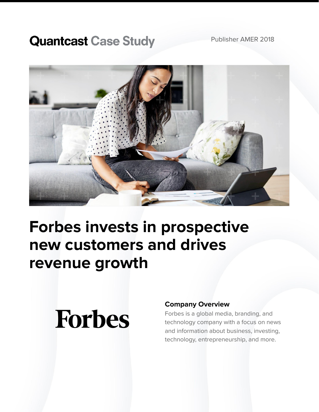### **Quantcast Case Study**



## **Forbes invests in prospective new customers and drives revenue growth**

# **Forbes**

#### **Company Overview**

Forbes is a global media, branding, and technology company with a focus on news and information about business, investing, technology, entrepreneurship, and more.